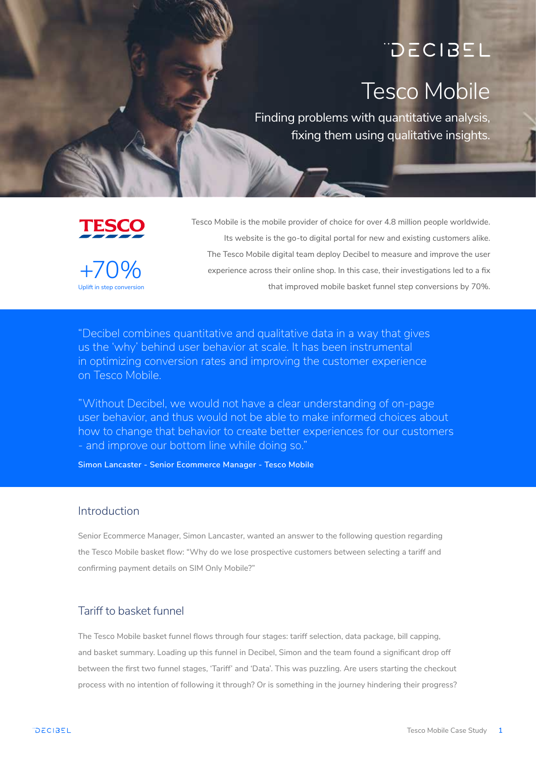# DECIBEL Tesco Mobile

Finding problems with quantitative analysis, fixing them using qualitative insights.

# **TESCO**

Uplift in step conversion  $+70%$ 

Tesco Mobile is the mobile provider of choice for over 4.8 million people worldwide. Its website is the go-to digital portal for new and existing customers alike. The Tesco Mobile digital team deploy Decibel to measure and improve the user experience across their online shop. In this case, their investigations led to a fix that improved mobile basket funnel step conversions by 70%.

"Decibel combines quantitative and qualitative data in a way that gives us the 'why' behind user behavior at scale. It has been instrumental in optimizing conversion rates and improving the customer experience on Tesco Mobile.

"Without Decibel, we would not have a clear understanding of on-page user behavior, and thus would not be able to make informed choices about how to change that behavior to create better experiences for our customers - and improve our bottom line while doing so."

**Simon Lancaster - Senior Ecommerce Manager - Tesco Mobile**

#### Introduction

Senior Ecommerce Manager, Simon Lancaster, wanted an answer to the following question regarding the Tesco Mobile basket flow: "Why do we lose prospective customers between selecting a tariff and confirming payment details on SIM Only Mobile?"

# Tariff to basket funnel

The Tesco Mobile basket funnel flows through four stages: tariff selection, data package, bill capping, and basket summary. Loading up this funnel in Decibel, Simon and the team found a significant drop off between the first two funnel stages, 'Tariff' and 'Data'. This was puzzling. Are users starting the checkout process with no intention of following it through? Or is something in the journey hindering their progress?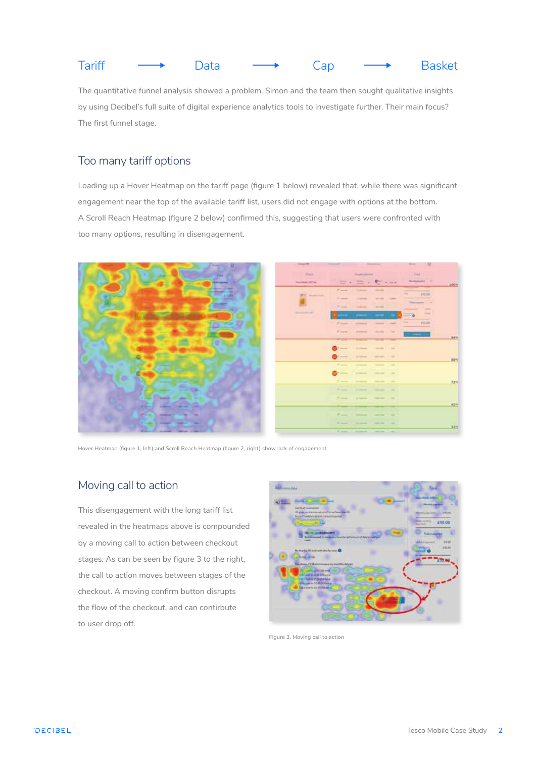|  | <b>Tariff</b> |  | Data |  | Can) |  | <b>Basket</b> |
|--|---------------|--|------|--|------|--|---------------|
|--|---------------|--|------|--|------|--|---------------|

The quantitative funnel analysis showed a problem. Simon and the team then sought qualitative insights by using Decibel's full suite of digital experience analytics tools to investigate further. Their main focus? The first funnel stage.

# Too many tariff options

Loading up a Hover Heatmap on the tariff page (figure 1 below) revealed that, while there was significant engagement near the top of the available tariff list, users did not engage with options at the bottom. A Scroll Reach Heatmap (figure 2 below) confirmed this, suggesting that users were confronted with too many options, resulting in disengagement.



Hover Heatmap (figure 1, left) and Scroll Reach Heatmap (figure 2, right) show lack of engagement.

# Moving call to action

This disengagement with the long tariff list revealed in the heatmaps above is compounded by a moving call to action between checkout stages. As can be seen by figure 3 to the right, the call to action moves between stages of the checkout. A moving confirm button disrupts the flow of the checkout, and can contirbute to user drop off.



Figure 3. Moving call to action